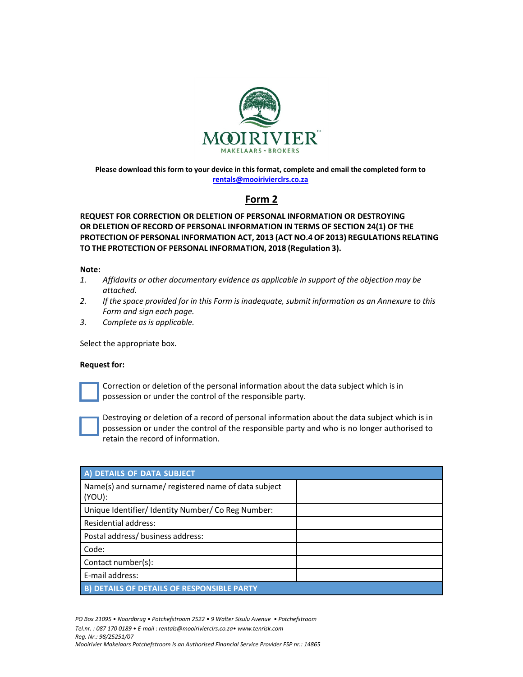

**Please download this form to your device in this format, complete and email the completed form to rentals@mooirivierclrs.co.za**

## **Form 2**

## **REQUEST FOR CORRECTION OR DELETION OF PERSONAL INFORMATION OR DESTROYING OR DELETION OF RECORD OF PERSONAL INFORMATION IN TERMS OF SECTION 24(1) OF THE PROTECTION OF PERSONAL INFORMATION ACT, 2013 (ACT NO.4 OF 2013) REGULATIONS RELATING TO THE PROTECTION OF PERSONAL INFORMATION, 2018 (Regulation 3).**

## **Note:**

- *1. Affidavits or other documentary evidence as applicable in support of the objection may be attached.*
- *2. If the space provided for in this Form is inadequate, submit information as an Annexure to this Form and sign each page.*
- *3. Complete as is applicable.*

Select the appropriate box.

## **Request for:**



Correction or deletion of the personal information about the data subject which is in possession or under the control of the responsible party.



Destroying or deletion of a record of personal information about the data subject which is in possession or under the control of the responsible party and who is no longer authorised to retain the record of information.

| A) DETAILS OF DATA SUBJECT                                        |  |
|-------------------------------------------------------------------|--|
| Name(s) and surname/ registered name of data subject<br>$(YOU)$ : |  |
| Unique Identifier/ Identity Number/ Co Reg Number:                |  |
| Residential address:                                              |  |
| Postal address/ business address:                                 |  |
| Code:                                                             |  |
| Contact number(s):                                                |  |
| E-mail address:                                                   |  |
| <b>B) DETAILS OF DETAILS OF RESPONSIBLE PARTY</b>                 |  |